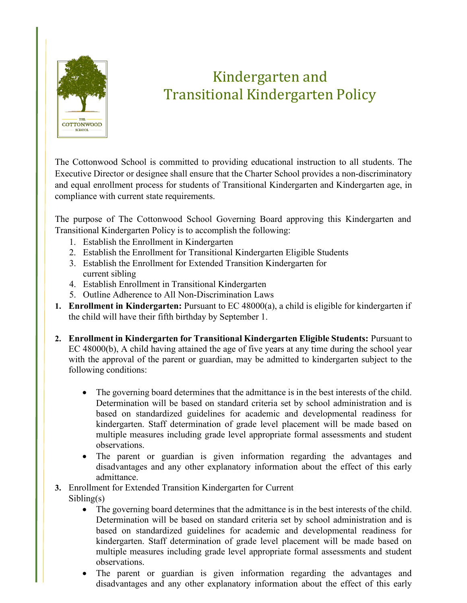

## Kindergarten and Transitional Kindergarten Policy

The Cottonwood School is committed to providing educational instruction to all students. The Executive Director or designee shall ensure that the Charter School provides a non-discriminatory and equal enrollment process for students of Transitional Kindergarten and Kindergarten age, in compliance with current state requirements.

The purpose of The Cottonwood School Governing Board approving this Kindergarten and Transitional Kindergarten Policy is to accomplish the following:

- 1. Establish the Enrollment in Kindergarten
- 2. Establish the Enrollment for Transitional Kindergarten Eligible Students
- 3. Establish the Enrollment for Extended Transition Kindergarten for current sibling
- 4. Establish Enrollment in Transitional Kindergarten
- 5. Outline Adherence to All Non-Discrimination Laws
- **1. Enrollment in Kindergarten:** Pursuant to EC 48000(a), a child is eligible for kindergarten if the child will have their fifth birthday by September 1.
- **2. Enrollment in Kindergarten for Transitional Kindergarten Eligible Students:** Pursuant to EC 48000(b), A child having attained the age of five years at any time during the school year with the approval of the parent or guardian, may be admitted to kindergarten subject to the following conditions:
	- The governing board determines that the admittance is in the best interests of the child. Determination will be based on standard criteria set by school administration and is based on standardized guidelines for academic and developmental readiness for kindergarten. Staff determination of grade level placement will be made based on multiple measures including grade level appropriate formal assessments and student observations.
	- The parent or guardian is given information regarding the advantages and disadvantages and any other explanatory information about the effect of this early admittance.
- **3.** Enrollment for Extended Transition Kindergarten for Current Sibling(s)
	- The governing board determines that the admittance is in the best interests of the child. Determination will be based on standard criteria set by school administration and is based on standardized guidelines for academic and developmental readiness for kindergarten. Staff determination of grade level placement will be made based on multiple measures including grade level appropriate formal assessments and student observations.
	- The parent or guardian is given information regarding the advantages and disadvantages and any other explanatory information about the effect of this early